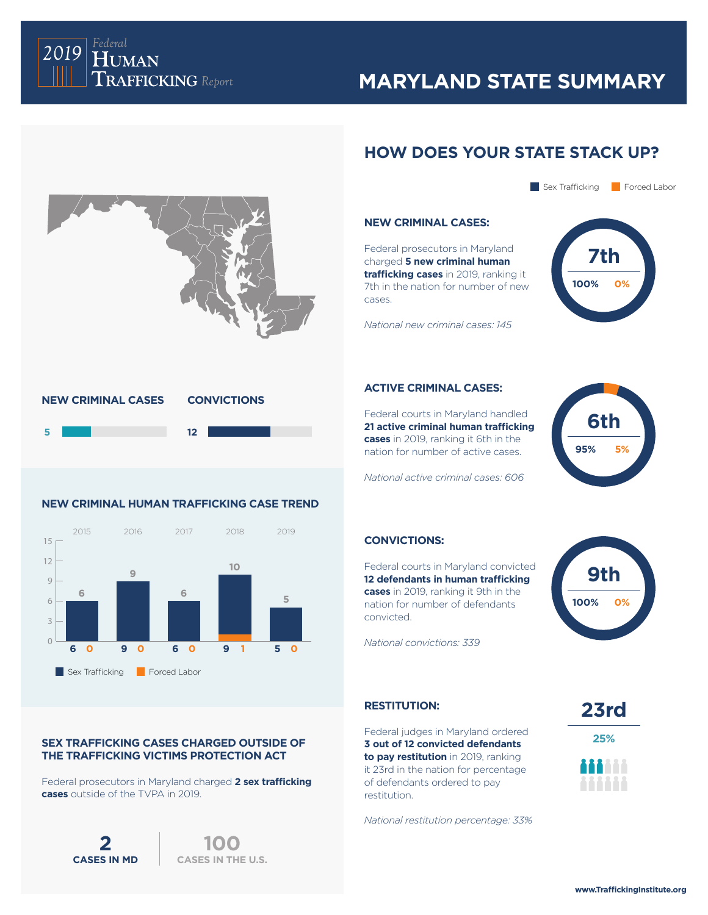

## **MARYLAND STATE SUMMARY**

## **HOW DOES YOUR STATE STACK UP?**



## Sex Trafficking Forced Labor

### **NEW CRIMINAL CASES:**

Federal prosecutors in Maryland charged **5 new criminal human trafficking cases** in 2019, ranking it 7th in the nation for number of new cases.



*National new criminal cases: 145*

### **ACTIVE CRIMINAL CASES:**

Federal courts in Maryland handled **21 active criminal human trafficking cases** in 2019, ranking it 6th in the nation for number of active cases.

*National active criminal cases: 606*

# **6th 95% 5%**

### **CONVICTIONS:**

Federal courts in Maryland convicted **12 defendants in human trafficking cases** in 2019, ranking it 9th in the nation for number of defendants convicted.

*National convictions: 339*



## **RESTITUTION:**

Federal judges in Maryland ordered **3 out of 12 convicted defendants to pay restitution** in 2019, ranking it 23rd in the nation for percentage of defendants ordered to pay restitution.

*National restitution percentage: 33%*



**23rd 25%**



### **NEW CRIMINAL HUMAN TRAFFICKING CASE TREND**

**NEW CRIMINAL CASES CONVICTIONS**



## **SEX TRAFFICKING CASES CHARGED OUTSIDE OF THE TRAFFICKING VICTIMS PROTECTION ACT**

Federal prosecutors in Maryland charged **2 sex trafficking cases** outside of the TVPA in 2019.

**2** 100<br>**CASES IN MD** CASES IN TH

**CASES IN THE U.S.**